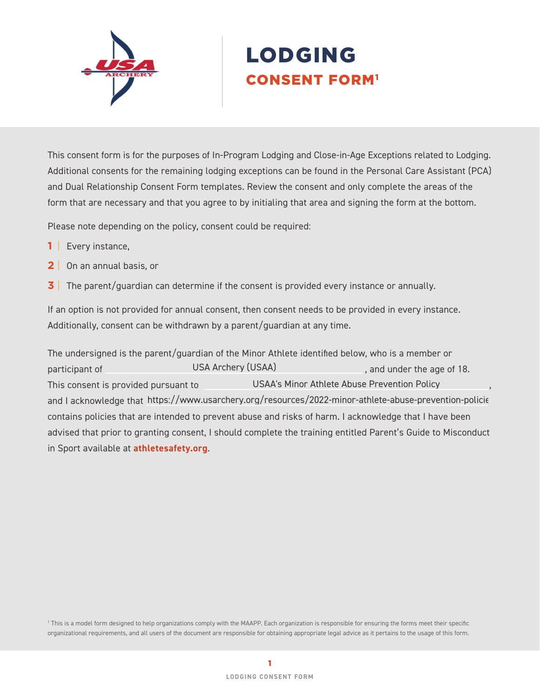

# LODGING CONSENT FORM1

This consent form is for the purposes of In-Program Lodging and Close-in-Age Exceptions related to Lodging. Additional consents for the remaining lodging exceptions can be found in the Personal Care Assistant (PCA) and Dual Relationship Consent Form templates. Review the consent and only complete the areas of the form that are necessary and that you agree to by initialing that area and signing the form at the bottom.

Please note depending on the policy, consent could be required:

- **1** | Every instance,
- **2** | On an annual basis, or
- **3** The parent/guardian can determine if the consent is provided every instance or annually.

If an option is not provided for annual consent, then consent needs to be provided in every instance. Additionally, consent can be withdrawn by a parent/guardian at any time.

The undersigned is the parent/guardian of the Minor Athlete identified below, who is a member or participant of **Example 20** USA Archery (USAA) and under the age of 18. This consent is provided pursuant to **COLOGY CONGO** USAA's Minor Athlete Abuse Prevention Policy Theory, and I acknowledge that https://www.usarchery.org/resources/2022-minor-athlete-abuse-prevention-policie contains policies that are intended to prevent abuse and risks of harm. I acknowledge that I have been advised that prior to granting consent, I should complete the training entitled Parent's Guide to Misconduct in Sport available at **[athletesafety.org](https://www.athletesafety.org/)**. USA Archery (USAA)

1 This is a model form designed to help organizations comply with the MAAPP. Each organization is responsible for ensuring the forms meet their specific organizational requirements, and all users of the document are responsible for obtaining appropriate legal advice as it pertains to the usage of this form.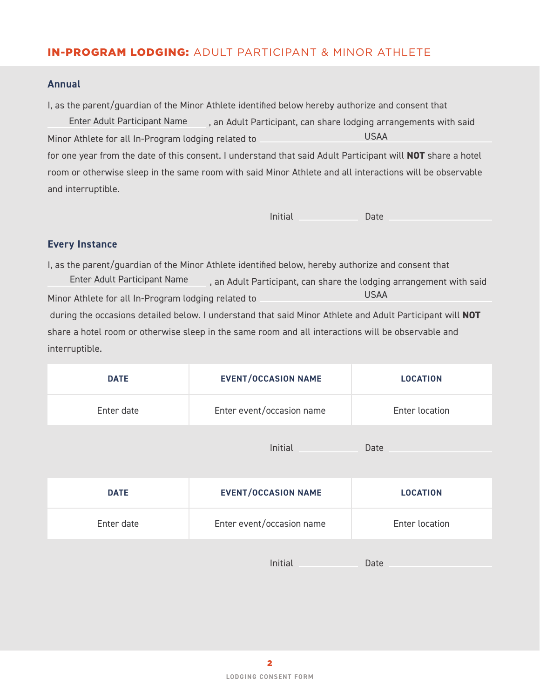# IN-PROGRAM LODGING: ADULT PARTICIPANT & MINOR ATHLETE

### **Annual**

I, as the parent/guardian of the Minor Athlete identified below hereby authorize and consent that

Enter Adult Participant Name , an Adult Participant, can share lodging arrangements with said Minor Athlete for all In-Program lodging related to for one year from the date of this consent. I understand that said Adult Participant will **NOT** share a hotel room or otherwise sleep in the same room with said Minor Athlete and all interactions will be observable and interruptible. USAA

Initial Date

## **Every Instance**

I, as the parent/guardian of the Minor Athlete identified below, hereby authorize and consent that , an Adult Participant, can share the lodging arrangement with said Minor Athlete for all In-Program lodging related to during the occasions detailed below. I understand that said Minor Athlete and Adult Participant will **NOT** share a hotel room or otherwise sleep in the same room and all interactions will be observable and interruptible. Enter Adult Participant Name USAA

| <b>DATE</b> | <b>EVENT/OCCASION NAME</b> | <b>LOCATION</b> |
|-------------|----------------------------|-----------------|
| Enter date  | Enter event/occasion name  | Enter location  |
|             | Initial                    | Date            |
| <b>DATE</b> | <b>EVENT/OCCASION NAME</b> | <b>LOCATION</b> |
|             |                            |                 |
| Enter date  | Enter event/occasion name  | Enter location  |